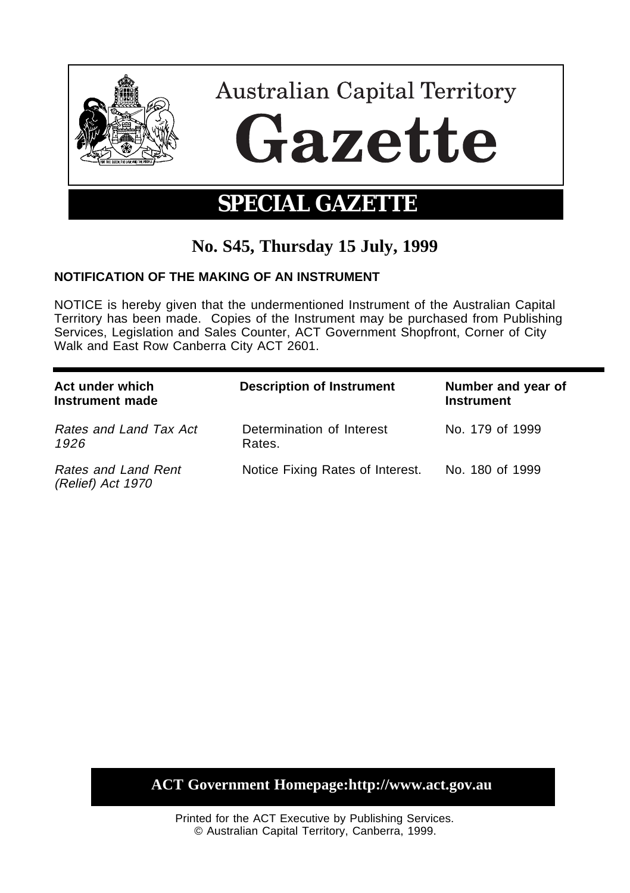

# **No. S45, Thursday 15 July, 1999**

### **NOTIFICATION OF THE MAKING OF AN INSTRUMENT**

NOTICE is hereby given that the undermentioned Instrument of the Australian Capital Territory has been made. Copies of the Instrument may be purchased from Publishing Services, Legislation and Sales Counter, ACT Government Shopfront, Corner of City Walk and East Row Canberra City ACT 2601.

| Act under which<br>Instrument made       | <b>Description of Instrument</b>    | Number and year of<br><b>Instrument</b> |
|------------------------------------------|-------------------------------------|-----------------------------------------|
| Rates and Land Tax Act<br>1926           | Determination of Interest<br>Rates. | No. 179 of 1999                         |
| Rates and Land Rent<br>(Relief) Act 1970 | Notice Fixing Rates of Interest.    | No. 180 of 1999                         |

## **ACT Government Homepage:http://www.act.gov.au**

Printed for the ACT Executive by Publishing Services. © Australian Capital Territory, Canberra, 1999.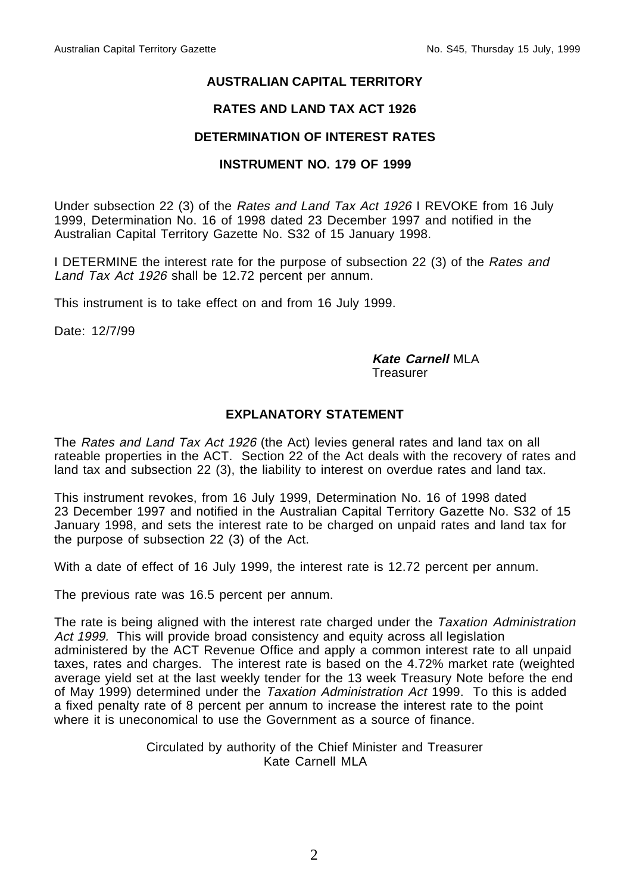#### **AUSTRALIAN CAPITAL TERRITORY**

#### **RATES AND LAND TAX ACT 1926**

#### **DETERMINATION OF INTEREST RATES**

#### **INSTRUMENT NO. 179 OF 1999**

Under subsection 22 (3) of the Rates and Land Tax Act 1926 I REVOKE from 16 July 1999, Determination No. 16 of 1998 dated 23 December 1997 and notified in the Australian Capital Territory Gazette No. S32 of 15 January 1998.

I DETERMINE the interest rate for the purpose of subsection 22 (3) of the Rates and Land Tax Act 1926 shall be 12.72 percent per annum.

This instrument is to take effect on and from 16 July 1999.

Date: 12/7/99

#### **Kate Carnell** MLA

**Treasurer** 

#### **EXPLANATORY STATEMENT**

The Rates and Land Tax Act 1926 (the Act) levies general rates and land tax on all rateable properties in the ACT. Section 22 of the Act deals with the recovery of rates and land tax and subsection 22 (3), the liability to interest on overdue rates and land tax.

This instrument revokes, from 16 July 1999, Determination No. 16 of 1998 dated 23 December 1997 and notified in the Australian Capital Territory Gazette No. S32 of 15 January 1998, and sets the interest rate to be charged on unpaid rates and land tax for the purpose of subsection 22 (3) of the Act.

With a date of effect of 16 July 1999, the interest rate is 12.72 percent per annum.

The previous rate was 16.5 percent per annum.

The rate is being aligned with the interest rate charged under the Taxation Administration Act 1999. This will provide broad consistency and equity across all legislation administered by the ACT Revenue Office and apply a common interest rate to all unpaid taxes, rates and charges. The interest rate is based on the 4.72% market rate (weighted average yield set at the last weekly tender for the 13 week Treasury Note before the end of May 1999) determined under the Taxation Administration Act 1999. To this is added a fixed penalty rate of 8 percent per annum to increase the interest rate to the point where it is uneconomical to use the Government as a source of finance.

> Circulated by authority of the Chief Minister and Treasurer Kate Carnell MLA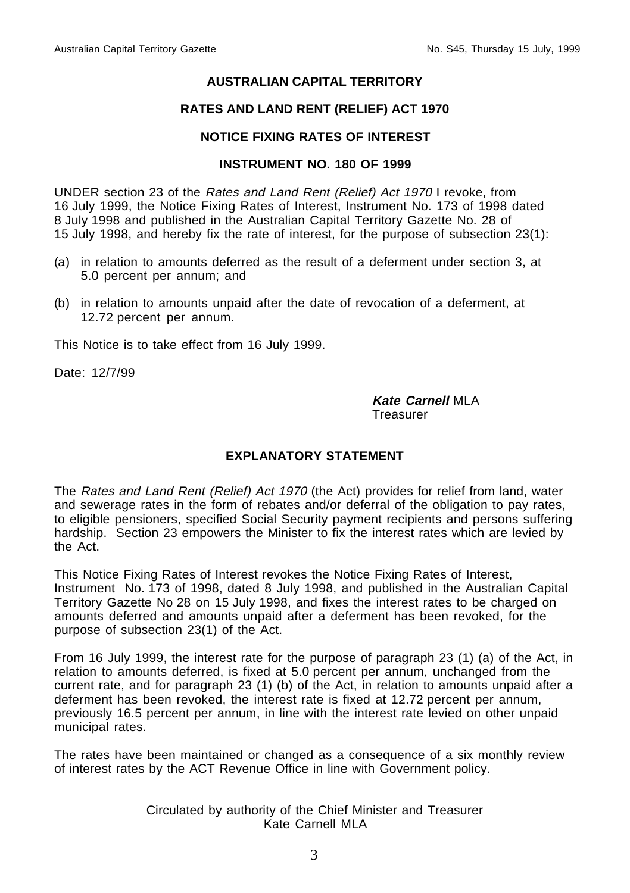#### **AUSTRALIAN CAPITAL TERRITORY**

#### **RATES AND LAND RENT (RELIEF) ACT 1970**

#### **NOTICE FIXING RATES OF INTEREST**

#### **INSTRUMENT NO. 180 OF 1999**

UNDER section 23 of the Rates and Land Rent (Relief) Act 1970 I revoke, from 16 July 1999, the Notice Fixing Rates of Interest, Instrument No. 173 of 1998 dated 8 July 1998 and published in the Australian Capital Territory Gazette No. 28 of 15 July 1998, and hereby fix the rate of interest, for the purpose of subsection 23(1):

- (a) in relation to amounts deferred as the result of a deferment under section 3, at 5.0 percent per annum; and
- (b) in relation to amounts unpaid after the date of revocation of a deferment, at 12.72 percent per annum.

This Notice is to take effect from 16 July 1999.

Date: 12/7/99

**Kate Carnell** MLA **Treasurer** 

#### **EXPLANATORY STATEMENT**

The Rates and Land Rent (Relief) Act 1970 (the Act) provides for relief from land, water and sewerage rates in the form of rebates and/or deferral of the obligation to pay rates, to eligible pensioners, specified Social Security payment recipients and persons suffering hardship. Section 23 empowers the Minister to fix the interest rates which are levied by the Act.

This Notice Fixing Rates of Interest revokes the Notice Fixing Rates of Interest, Instrument No. 173 of 1998, dated 8 July 1998, and published in the Australian Capital Territory Gazette No 28 on 15 July 1998, and fixes the interest rates to be charged on amounts deferred and amounts unpaid after a deferment has been revoked, for the purpose of subsection 23(1) of the Act.

From 16 July 1999, the interest rate for the purpose of paragraph 23 (1) (a) of the Act, in relation to amounts deferred, is fixed at 5.0 percent per annum, unchanged from the current rate, and for paragraph 23 (1) (b) of the Act, in relation to amounts unpaid after a deferment has been revoked, the interest rate is fixed at 12.72 percent per annum, previously 16.5 percent per annum, in line with the interest rate levied on other unpaid municipal rates.

The rates have been maintained or changed as a consequence of a six monthly review of interest rates by the ACT Revenue Office in line with Government policy.

#### Circulated by authority of the Chief Minister and Treasurer Kate Carnell MLA